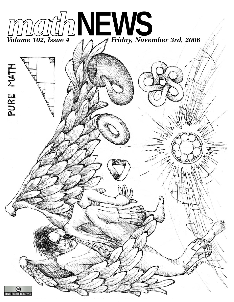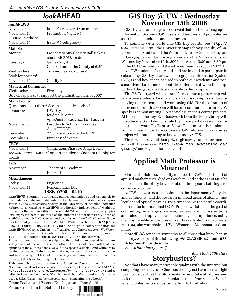## *look***AHEAD**

| <i>mathNEWS</i>            |                                                         |
|----------------------------|---------------------------------------------------------|
| November 3                 | Issue #4 recovers from midterms                         |
| November 13                | Production Night #5                                     |
| 6:30PM, MathSoc            |                                                         |
| November 17                | Issue #5 gets groovy                                    |
| <b>MathSoc</b>             |                                                         |
| Monday                     | Last day to buy Charity Ball tickets                    |
|                            | check MC3038 for details                                |
| Tuesdays                   | Games Night                                             |
|                            | Check it out in the Comfy at 6:30                       |
| Wednesdays                 | Two movies, no dollars!                                 |
| Look for posters!          |                                                         |
| November 10                | Charity Ball                                            |
| <b>Math Grad Committee</b> |                                                         |
| Wednesdays                 | Pizza day!                                              |
|                            | Buy cheap pizza to support the graduating class of 2007 |
| <b>Math Faculty</b>        |                                                         |
|                            | Questions about these? See an academic advisor!         |
| Tomorrow                   | UW Day                                                  |
|                            | for details, e-mail                                     |
|                            | vpas@mathsoc.uwaterloo.ca                               |
| November 3                 | Last day to WD from a course                            |
|                            | As in TODAY!                                            |
| December 7                 | $2nd$ chance to write the ELPE                          |
| December 8                 | First day of exams                                      |
| <b>CECS</b>                |                                                         |
| November 1                 | Continuous Phase Postings Begin                         |
|                            | see www.cecs.uwaterloo.ca/students/datesF06.phpfor      |
| details                    |                                                         |
| Feds                       |                                                         |
| November 3                 | Theory of a Deadman                                     |
|                            | Fed Hall                                                |
| <b>Miscellaneous</b>       |                                                         |
| Today                      | EngScunt                                                |
| November 11                | Remembrance Day                                         |
|                            | ISSN 0705—0410                                          |

*math*NEWS is normally a fortnightly publication funded by and responsible to the undergraduate math students of the University of Waterloo, as represented by the Mathematics Society of the University of Waterloo, hereafter referred to as MathSoc. *math*NEWS is editorially independent of MathSoc. Content is the responsibility of the *math*NEWS editors; however, any opinions expressed herein are those of the authors and not necessarily those of MathSoc or *math*NEWS. Current and back issues of *math*NEWS are available electronically via the World Wide Web at http:// www.mathnews.uwaterloo.ca/. Send your correspondence to: *math*NEWS, MC3046, University of Waterloo, 200 University Ave. W., Waterloo, Ontario, Canada, N2L 3G1, or to userid mathnews@student.math.uwaterloo.ca on the Internet.

The editors remind the readership that the opinions expressed herein are solely those of the authors, and further, that it's not their fault that the opinions of the authors don't always fit the space available. And while we're reminding people of things, we remind you, the reader, that you are attractive and good-looking, not least of all because you're taking the time to read this puny text that is ordinarily quite ignorable.

This work is licensed under the Creative Commons Attribution-NonCommercial-NoDerivs License. To view a copy of this license, visit http:/ /creativecommons.org/licenses/by-nc-nd/2.0/ca/ or send a letter to Creative Commons, 559 Nathan Abbott Way, Stanford, California 94305, USA. Terms may be renegotiated by contacting the editor(s).

Grand Poobah and Poobee: Eric Logan and Jenn Smith For our friends in the National Library:



## **GIS Day @ UW : Wednesday November 15th 2006**

GIS Day is an annual grassroots event that celebrates Geographic Information Systems (GIS) users and teaches and promotes research tools to schools and businesses.

To coincide with worldwide GIS Day events (see http:// www.gisday.com), the University Map Library, Faculty of Environmental Studies and the Waterloo-Laurier Graduate Program in Geography will be hosting a variety of GIS Day events on Wednesday November 15th, 2006, between 10:30 and 3:30 pm in the ES1 Courtyard and the adjacent seminar room ES1 221.

All UW students, faculty and staff are invited to participate in celebrating GIS Day. Learn what Geographic Information System (GIS) is and how it can be used in both your academic and personal lives. Learn more about the different software that supports all the geospatial data available to the campus.

The ES Courtyard will be transformed into a poster map gallery where students, faculty and staff across campus will be displaying their research and work using GIS. For the duration of the event the seminar room will have a continuous stream of UW speakers demonstrating GIS technology in their course projects. At the end of the day, Eva Dodsworth from the Map Library will introduce GIS and demonstrate the Library's data resources using the software GeoExpress View. Don't miss this session as you will learn how to incorporate GIS into your next course project without needing to know or use ArcGIS.

There will be several door prizes, giveaways and refreshments as well. Please visit http://www.fes.uwaterloo.ca/ gisday/ and register for the event!

Eva

## **Applied Math Professor is Mourned**

Marita Chidichimo, a faculty member in UW's department of applied mathematics, died on October 22nd at the age of 60. She had been on disability leave for about three years, battling a recurrence of cancer.

At UW she was cross–appointed to the department of physics and astronomy, and did research in broad areas of atomic, molecular and optical physics. For a time she was scientific coordinator of the international IRON Project, which has "the goal of computing, on a large scale, electron excitation cross sections and rates of astrophysical and technological importance, using the most reliable procedures currently available." For two years, 2001-03, she was chair of UW's Women in Mathematics Committee.

*math*NEWS sends its sympathy to all those that knew her. In memory, we reprint this following *ultra*CLASSIFIED from 1988:

#### *Attention M. Chidichimo:*

 *Please introduce yourself.*

 *Your Math 230B class* **Storybusters?**

Not that I have many noticeable qualms with the Imprint, but comparing themselves to Ghostbusters may not have been a bright idea. Consider that the Storybuster would take all stories and lock them up into a container, isolating them from society. What's left? Ectoplasmic ooze. Just something to think about.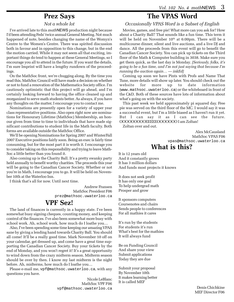### **Prez Says**

#### *Not a whole lot*

I've arrived late to this *math*NEWS production night because I'd been attending Feds' twice annual General Meeting. Not much happened of note, besides changing the name of the Womyn's Centre to the Women's Centre. There was spirited discussion both in favour and in opposition to this change, but in the end the motion carried. While it may not seem all that exciting, important things do tend to happen at these General Meetings, so I encourage you all to attend in the future. If you want the details, I'm sure Imprint will have a lengthy rundown of the proceedings.

On the MathSoc front, we're chugging along. By the time you read this, MathSoc Council will have made a decision on whether or not to fund a renovation of the Mathematics Society office. I'm cautiously optimistic that this project will go ahead, and I'm certainly looking forward to having the office cleaned up and reorganized to serve math students better. As always, if you have any thoughts on the matter, I encourage you to contact me.

Nominations are presently open for a variety of upper year class representative positions. Also open right now are nominations for Honourary Lifetime (MathSoc) Membership, an honour given from time to time to individuals that have made significant contributions to student life in the Math faculty. Both forms are available outside the MathSoc Office.

We'll be opening Nominations for Spring 2007 and Winter/Fall 2007 Executive positions fairly soon. Being an exec is fairly time consuming, but for the most part it is worth it. I encourage you to consider taking on this responsibility and trying to leave Math-Soc a little better than you found it.

Also coming up is the Charity Ball. It's a pretty swanky party held annually to benefit worthy charities. The proceeds this year will be going to the Canadian Cancer Society. Whether or not you're in Math, I encourage you to go. It will be held on November 10th at the Waterloo Inn.

I think that's all for now. Until next time.

Andrew Fransen MathSoc President F06 prez@mathsoc.uwaterloo.ca

## **VPF Sez!**

The land of finances is currently in a happy state. I've been somewhat busy signing cheques, counting money, and keeping control of the finances. I've also been somewhat more busy with school work. Ah, school work, how much do I loathe you…

Also, I've been spending some time keeping our amazing VPAS sane by giving a lending hand towards Charity Ball. You should all come! It'll be a really good time. Mark November 10 off on your calendar, get dressed up, and come have a great time supporting the Canadian Cancer Society. Buy your tickets by the end of Monday, and you won't regret it! It's a great opportunity to wind down from the crazy midterm season. Midterm season should be over by then. I know my last midterm is the night before. Ah, midterms, how much do I loathe you…

Please e-mail me, vpf@mathsoc.uwaterloo.ca, with any questions you have.

> Nicole LeBlanc MathSoc VPF F06 vpf@mathsoc.uwaterloo.ca

## **The VPAS Word**

*Occasionally VPAS Word is a Subset of English*

Movies, games, and free pie! What more can you ask for? How about a Charity Ball? That sounds like a fun time. This term it will be held on November  $10<sup>th</sup>$  at 6:00pm. There will be a multicourse dinner, silent and live auctions, and a live DJ and dance. All the proceeds from this event will go to benefit the Canadian Cancer Society. You can pick up tickets on the Third floor of the Math & Computer building in 3038. Make sure you get them quick, as the last day is Monday. *[Seriously, folks, it's going to be a fun time, and I'm not just saying that because I'm running the auction again… — inkEd]*

Coming up soon we have Pints with Profs and Name That Tune, more details will show up later. You should check out the website for more up to date information (www.mathsoc.uwaterloo.ca) or the whiteboard in front of the C&D. Both of these sources have lots of information about what's going on with the society.

This past week we held approximately pi squared day. Free pie was served on the third floor of the MC. I would say it was a successful event, but I'm a little biased as I haven't run it yet. But I can say it as I can see the future. OOOOOOOOOEEEEEOOOOOOO I am Zoltan!

Zoltan over and out.

Alex McCausland MathSoc VPAS F06 vpas@mathsoc.uwaterloo.ca **What is this?**

It is 12 years old And it constantly grows It has 3 million dollars And funds most projects it knows

It does not seek profit It has only one goal To help undergrad math Prosper and grow

It sponsors computers Coursenotes and chairs Sends people to conferences For all mathies it cares

It's run by the students For students it's run What's best for the mathies It will always fund

Be on Funding Council And share your view Submit applications Today they are due

Submit your proposal By November 10th It makes learning better It is called MEF

> Denis Chichkine MEF Director F06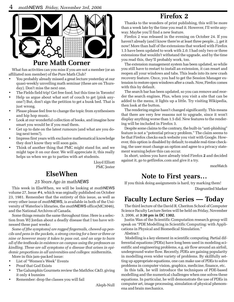

What fun activities can you miss if you are not a member (or an

affiliated non member) of the Pure Math Club?

- You probably already missed a great lecture yesterday at our quasi-weekly unveiling math seminar (these are on Thursday). Don't miss the next one.
- The Fields field trip! Get free food, but this time in Toronto!
- Help us argue about what sort of couch to get (pink anyone?) But, don't sign the petition to get a bunk bed. That is just wrong.
- Please please feel free to change the topic from synthesisers and hip hop music.
- Look at our wonderful collection of books, and imagine how smart you would be if you read them.
- Get up to date on the latest rumours (and what are you doing next term?).
- Impress first years with exclusive mathematical knowledge they don't know they will soon gain.
- Think of another thing that PMC might stand for, and we might tape it on our door. We will appreciate it, this really helps us when we go to parties with art students.

Lloyd Elliott PMC Jester

## **ElseWhen**

#### *25 Years Ago in* math*NEWS*

This week in ElseWhen, we will be looking at *math*NEWS volume 27, Issue #4, which was orginally published on October 23, 1981. Remember that the entirety of this issue, as well as every other issue of *math*NEWS, is available in both of the University of Waterloo's libraries, the *math*NEWS office(MC3046), and the National Archives of Canada.

Some things remain the same throughout time. Here is a selection from WJ Jordan about a deadly disease that I too have witnessed these past weeks:

*Some of [the symptoms] are ragged fingernails, chewed-up pencils and pens in the pockets, a strong craving for a beer or three or nine or however many it takes to pass out, and an urge to burn all of the textbooks in existence on campus using the professors as kindling. These are all symptoms of a disease that arises in epidemic proportions in all universities and colleges:* midtermitis.

More in this jam-packed issue:

- List of "Women's Week" Events
- Proof that God Exists
- The Galumphin Gourmets review the MathSoc C&D, giving it only 4 bunnies
- Remember: drop the classes you will fail

Aleph-Null

## **Firefox 2**

Thanks to the wonders of print publishing, this will be more than a week late by the time you read it. However, I'll write anyway. Maybe you'll find a new feature.

Firefox 2 was released in the evening on October 24. If you haven't already (and I know there're at least three people...), get it now! More than half of the extensions that worked with Firefox 1.5 have been updated to work with 2.0. I had only two or three extensions that wouldn't withstand the upgrade, and by the time you read this, they'll probably work, too.

The extension management system has been updated, so while you still have to restart to install an extension, it can resart and reopen all your windows and tabs. This leads into its new crash recovery feature. Once, you had to get the Session Manager extension to restore open windows after a crash. Now, Firefox comes with this by default.

The search bar has been updated, so you can remove and reorder the search engines. Plus, when you visit a site that can be added to the menu, it lights up a little. Try visiting Wikipedia, then look at the button.

The rendering engine hasn't changed significantly. This means that there are very few reasons not to upgrade, since it won't display anything worse than 1.5 did. New features to the rendering will be included in Firefox 3.

Despite some claims to the contrary, the built-in "anti-phishing" feature is not a "potential privacy problem." The claim seems to be that Firefox checks each website you visit with Google. However, this option is disabled by default; to enable real-time checking, the user must change an option and agree to a privacy statement warning *before* this can occur.

In short, unless you have already tried Firefox **2** and decided against it, go to getfirefox.com and give it a try.

mozWatch

## **Note to First years…**

If you think doing assignments is hard, try marking them! Disgruntled Marker

## **Faculty Lecture Series — Today**

The third lecture of the David R. Cheriton School of Computer Science Faculty Lecture Series will be held on Friday, November 3, 2006, at **3:30 pm in DC 1302.**

Justin Wan of the Scientific Computation research group will speak on "PDE Modelling in Scientific Computing: with Applications in Physical and Biomedical Simulation."

Abstract:

 Modelling is a key element in scientific computing. Partial differential equations (PDEs) have long been used in modeling scientific and engineering problems, e.g. air flow around an airfoil, underground water flow. Recently, PDEs are gaining popularity in modelling even wider variety of problems. By skillfully setting up appropriate equations, one can make use of PDEs to solve problems in computer vision, graphics, medicine, finance, etc.

In this talk, he will introduce the techniques of PDE-based modelling and the numerical challenges when one solves these equations. In particular, he will demonstrate the use of PDEs in computer art, image processing, simulation of physical phenomena and brain mechanics.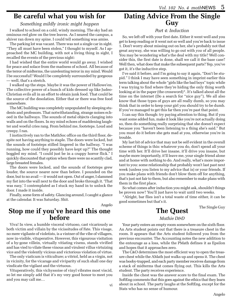## **Be careful what you wish for**

#### *Something mildly ironic might happen*

I walked to school on a cold, windy morning. The sky had an ominous red glow on the tree leaves. As I neared the campus, a shiver ran down my spine. I could tell something was amiss.

The parking lot was vacant. There was not a single car in sight. "They all must have been stolen," I thought to myself. As I approached the MC building, with not a living thing in sight, I recalled the events of the previous night:

I had wished that the entire world would go away. I wished for peace and solace from the madness of school. All because of the terror of midterms, the unrelenting terror in my mind. Would I be successful? Would I be completely surrounded by gorgeous — well, that's a stretch.

I walked up the steps. Maybe it was the power of Hallowe'en. The collective power of a bunch of kids dressed up like Judeo-Christian evils all in an effort to obtain junk food. That could be the source of the desolation. Either that or there was free food somewhere.

The MC building was completely unpopulated by sleeping students and professors. That notwithstanding, strange noises echoed in the hallways. The sounds of metal objects clanging into walls and on the floors. In my mind echoes of maddening laughter and woeful cries rang. From behind me, footsteps. Loud and creepy. I ran.

I instinctively ran to the MathSoc office on the third floor, despite not having anything to staple. The doors were locked, but the sounds of footsteps stilled lingered in the hallway. "I was running, how could they possibly have kept up?" The thought boggled my mind. "I could just be in a crappy horror flick." I quickly discounted that option when there were no scantily clad, large breasted females.

The doors were locked, and the sounds of footsteps grew louder, the source nearer now than before. I pounded on the door, but to no avail — it would not open. Out of anger, I slammed my fist into the wall next to the door and broke through it. 'That was easy,' I contemplated as I stuck my hand in to unlock the door. I made it inside.

Finally, some form of safety. Glancing around, I caught a glance at the calendar. It was Saturday. Shit.

Angelo

## **Stop me if you've heard this one before**

Viva! In view, a humble visceral virtuoso, cast vicariously as both victim and villain by the vicissitudes of Fate. This visage, no mere vigilante of violetists, is a vintner of the vibe of villagers, now in-visible, vituperative. However, this vigourous visitation of a by-gone villein, virtually vitiating vixens, stands vivified and has vied to vilate these vinous and virulent villus virtuizing vice and the violently vicious and victorious violation of virtue.

The only viaticum is viticulture; a vitriol, held as a virgin, not in vicinity, for the vicarage and viviparity of such shall one day vindicate the vigilant and the virtuous.

Vituperatively, this vichyssoise of vinyl vibrates most viscid, so let me simply add that it's my very good honor to meet you and you may call me…

## **Dating Advice From the Single Guy**

### *Part 4: Induction*

So, we left off with your first date. Either it went well and you get to keep reading or it went not so well and you're back to issue 1. Don't worry about missing out on her, she's probably not that great anyway, she was willing to go out with *you* of all people. You may be wondering what's the deal with my title? Well consider this, the first date is done, shall we call it the base case? Well then, what does that make the subsequent parts? Yep, you've got it, it's the inductive step.

I've said it before, and I'm going to say it again, "Don't be stupid." I think I may have seen something in imprint earlier this term talking about the whole "girls like the bad boys" topic while I was trying to find where they're hiding the only thing worth looking at in the paper (the crossword)<sup>\*</sup>. It's talked about all the time on the internet (Do a search for "nice guy"). We all also know that those types of guys are all really dumb, so you may think that in order to keep your girl you should try to be dumb. If you've managed to get this far then you're past that point.

I can say this though: try paying attention to thing. But if you want some added fun, make it look like you're not actually doing so, then do something really surprising that she doesn't expect because you "haven't been listening to a thing she's said." But you must do it before she gets mad at you, otherwise you're in trouble.

My last bit of advice that may not be self evident in the overall scheme of things is this: whatever you do, don't spend all your time with her. It'll drive her insane, it'll drive you insane, but maybe more importantly, it'll leave me, your single friend alone and at home with nothing to do. And really, what's more important to you: some relationship that probably won't last past next week (unless you listen to my advice that is) or your friends. If you make plans with friends don't blow them off for anything, that's just not fair to them, but also remember to make plans with them in the first place.

So what comes after induction you might ask, shouldn't things be proven now? You'll just have to wait until two weeks.

\*Alright, bar flies isn't a total waste of time either, it can be good sometimes but that's it.

## The Single Guy **The Quest**

#### *Mathie D&D*

Your party enters an empty room somewhere on the sixth floor. An Arts student points out that there is a treasure chest in the room. It appears that the Arts student followed you from the previous encounter. The Accounting notes the new addition to the entourage as a loss, while the PMath defines it as Epsilon and hopes that it approaches zero.

The C&O determines the most efficient way to open the treasure chest while the AMath just walks up and opens it. The chest was booby-trapped, and each party member receives damage from a stack of midterms that comes flying out. This kills the Arts student. The party receives experience.

Inside the chest was the answer score to the final exam. The SoftEng comments that this goes against the ethics that they learn about in school. The party laughs at the SoftEng, except for the Stats who has no sense of humour.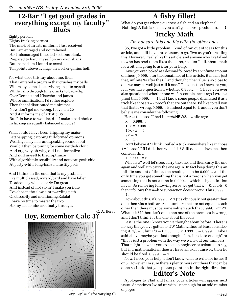## **12-Bar "I get good grades in everything except my faculty" Blues**

Eighty percent Eighty freaking percent The mark of an arts midterm I just received But I am enraged and not relieved For I mismanaged time, left sections blank, Prepared to hang myself on my own shank But instead am I found to excel Ten points above average, in slacker-genius hell.

For what does this say about me, then That I entered a program that crushes my balls Where joy comes in surviving despite myself While I slip through time-cracks to back-flip Over Dennett and Nietzche and James Whose ramifications I'd rather explore Then that of distributed mainframes. Now don't get me wrong, I love teh CS And it informs me of artistic BS But I do have to wonder, did I make a bad choice In lacking an equally balanced invoice?

What could I have been, flipping my major Latt?-sipping, dripping full-formed opinions Wearing fancy hats and speaking roundabout Would I then be pining for some nerdish clout And cry, why oh why, did I not formalize And skill myself to theoroptimize With algorithmic sensibility and nouveau geek-chic At pasty-white long-hairs I'd lustily peek

And I think, in the end, that is my problem I've multiclassed, wizard/bard and have fallen To adequacy when clearly I'm great And instead of hot sexin' I make you irate I've chosen the slow, unrewarding path Of obscurity and mentioning Ratatat I have no time to master the two For my academics are finally through.



## **A fishy filler!**

What do you get when you cross a fish and an elephant? Nothing! A fish is scalar, you can't get a cross product from it!

## **Tricky Math**

### *I'm not sure this one fits with the other ones*

So, I've got a little problem. I kind of ran out of ideas for this article, and still have three issues to go. Two as you're reading this. However, I really like this article, and anyone who I've talked to who has read them likes them too, so after I talk about math for a bit, I'm going to ask for your help.

Have you ever looked at a decimal followed by an infinite amount of nines ( 0.999… for the remainder of this article, it means just that, infinite 9s after the 0.) and thought "the value is so close to one we may as well just call it one." One question I have for you, is if you have questioned whether  $0.999... = 1$  have you ever also questioned whether one = 1? A couple terms ago I wrote a proof that  $0.999... = 1$  but I know some people dismissed it as a trick like those 1=2 proofs that are out there. I'd like to tell you that that is wrong, 0.999… is indeed equal to 1, and if you don't believe me consider the following:

Here's the proof I had in *math*NEWS a while ago:

```
x = 0.999...10x = 9.999...10x - x = 9
```
 $9x = 9$ 

Don't believe it? Think I pulled a trick somewhere like in those 1=2 proofs? If I did, then what is it? Still don't believe me, then consider this:

 $1 - 0.999... = x$ 

What is x? well let's see, carry the one, and then carry the one again and well um carry the one again. In fact keep doing this an infinite amount of times. the result gets to be 0.000… and the only time you get something that is not a zero is when you get something that is not a nine in 0.999…, which is by definition never. So removing following zeros we get that  $x = 0$ . If a-b=0 then it follows that a=b or subtraction doesn't work. Thus 0.999…  $= 1.$ 

How about this, if  $0.999... < 1$  (it's obviously not greater than one) then since both are real numbers that are not equal to each other then there must be some value x such that  $0.999... < x < 1$ . What is it? If there isn't one, then one of the premises is wrong, and I don't think it's the one about the reals.

Last is the one I know you've thought about before. There is no way that you've gotten to UW Math without at least considering it.  $3/3=1$ , but  $1/3 = 0.333...3 \times 0.333... = 0.999...$  Like I said above maybe you just thought, "oh, it's close enough" or "that's just a problem with the way we write out our numbers." That might be what you expect an engineer or scientist to say, but if a mathematician doesn't have an exact answer, then he should be fired.  $0.999... = 1$ .

Now, I need your help. I don't know what to write for issues 5 or 6. However I'm sure there's plenty more out there that can be done so I ask that you please point me in the right direction.

## **Editor's Note**

Apologies to Vlad and James; your articles will appear next issue. Sometimes I wind up with just enough for an odd number of pages

 $x = 1$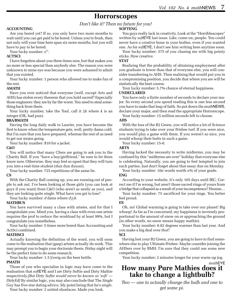## **Horrorscopes**

#### *Don't like it? Then no future for you!*

#### **ACCOUNTING**

Are you bored yet? If so, you only have two more months to wait until you can get paid to be bored. Unless you're frosh, then not only will your time here span six more months, but you will have to pay to be bored.

Your lucky number:  $z^{57}$ .

#### **ACTSCI**

I have forgotten about you three times now, but that makes you no more or less special than anybody else. The reason you were unknown to mine eye was because you were ashamed to admit that you existed.

Your lucky number: 1 person who allowed me to make fun of the rest.

#### **AMATH**

Have you ever noticed that everyone (well, except Arts and AHS) has stolen every theorem that you hold sacred? Especially those engineers: they are by far the worst. You need to steal something back from them.

Your lucky number, take the Tool, call it 2*k* where *k* is an integer (OK, bad pun).

#### **BBA/BMATH**

Having the long daily walk to Laurier, you have become the first to know when the temperature gets, well, pretty damn cold. But I'm sure that you have prepared, whereas the rest of us need to get our mojos going.

Your lucky number: \$10 for a jacket.

#### **C&O**

You will notice that many CSers are going to ask you to the Charity Ball. If you "have a boy/girlfriend," be sure to let them know now. Otherwise, they may feel so upset that they will turn you into a real-time student (dun dun duuun).

Your lucky number: 725 repetitions of the same lie.

#### **CS**

With the Charity Ball coming up, you are running out of people to ask out. I've been looking at those girls (you can look at guys if you want) from C&O (who aren't as nerdy as you), and they are looking quite single. What have you got to lose?

Your lucky number: *d* dates where  $d \geq 0$ .

#### **MATHBUS**

You have survived many a class with artsies, and for that I congratulate you. Mind you, having a class with even one artsie requires the prof to reduce the workload by at least 99%, but I congratulate you nonetheless.

Your lucky number: 5 times more bored than Accounting and ActSci combined.

#### **MATHSCI**

Actually knowing the definition of the word, you will soon come to the realisation that (gasp) artsies actually do work. This may prompt you to begin your doctorate thesis. Friday night will be the perfect time to do some research.

Your lucky number: 1.5 J/swig on the beer bottle.

#### **PMATH**

Those of you who specialise in logic may have come to the realisation that *soft*EYE and I are Dirty Softie and Dirty Mathie respectively.*[But Dirty Softie would never be known as 'soft' — DirtyEd]* By similar logic, you may also conclude that The *Single* Guy has five-star dating advice. My point being that he's *single*.

Your lucky number: 2 untied shoelaces. Made you look.

**SOFTENG**

You guys really lack in creativity. Look at the "Horriblescopes" written by *soft*EYE last issue. Like, come on, people. You could never have a creative bone in your bodies, even if you wanted one. As for *soft*EYE, I don't see him writing here anytime soon.

Your lucky number: 375 of you chasing me with big pointy sticks. How creative.

#### **STAT**

Realising that the probability of obtaining employment after you graduate is lower than that of everyone else, you will consider transferring to AHS. Then realising that would put you in a compromising position, you decide that where you are will be statistically the best course.

Your lucky number: 5.7% chance of eternal happiness.

#### **UNDECLARED**

You have only a finite number of seconds to declare your major. So every second you spend reading this is one less second you have to make that leap of faith. So put down the *math*NEWS, declare your major, and then read the appropriate Horrorscope.

Your lucky number: 15 million seconds left to choose.

#### **AHS**

With the loss of the B2 Green, you will notice a lot of Science students trying to take over your Frisbee turf. If you were nice, you would play a game with them. If you weren't so nice, you would whoop their butts in such a game.

Your lucky number: 15-0.

#### **ARTS**

Having lacked the necessity to write midterms, you may be confused by this "midterms are over" holiday that everyone else is celebrating. Naturally, you are going to feel tempted to join such parties. Just don't forget about that essay due on Monday.

Your lucky number: 10*n* words worth *n*% of your grade.

#### **ENG**

According to your website, it's only 105 days until IRC. Correct me if I'm wrong, but aren't those sacred rings of yours from a bridge that collapsed as a result of your incompetence? Hmmm…

Your lucky number: 75 sacrificed for your rings. You better feel proud.

#### **ES**

Oh, no! Global warming is going to take over our planet! Big whoop! As far as I'm concerned, my happiness is inversely proportional to the amount of snow on or approaching the ground (in other words, no snow means happy mathie).

Your lucky number: 0.02 degrees warmer than last year. And you make a big deal over *that*? **SCI**

Having lost your B2 Green, you are going to have to find somewhere else to play Ultimate Frisbee. Maybe consider joining the AHSers over by BMH. I'm sure that they could use some new competition.

Your lucky number: 2 minutes longer for your warm-up jog.

## *math*EYE **How many Pure Mathies does it take to change a lightbulb?**

*Two — one to actually change the bulb and one to get some pi.*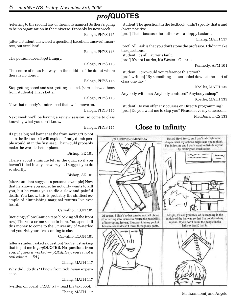## *prof***QUOTES**

[referring to the second law of thermodynamics] So there's going to be no organisation in the universe. Probably by next week.

Balogh, PHYS 115

[after a student answered a question] Excellent answer! Incorrect, but excellent!

Balogh, PHYS 115

The podium doesn't get hungry.

Balogh, PHYS 115

The centre of mass is always in the middle of the donut where there is no donut.

Balogh, PHYS 115

Stop getting bored and start getting excited. [sarcastic woo-hoos from students] That's better.

Balogh, PHYS 115

Now that nobody's understood that, we'll move on.

Balogh, PHYS 115

Next week we'll be having a review session, so come to class knowing what you don't know.

Balogh, PHYS 115

If I put a big red banner at the front saying "Do not sit in the first seat: it will explode," only dumb people would sit in the first seat. That would probably make the world a better place.

Bishop, SE 101

There's about a minute left in the quiz, so if you haven't filled in any answers yet, I suggest you do so shortly.

Bishop, SE 101

[after a student suggests a personal example] Now that he knows you more, he not only wants to kill you, but he wants you to die a slow and painful death. You know, this is probably the shittiest example of diminishing marginal returns I've ever heard.

#### Carvalho, ECON 101

[noticing yellow Caution tape blocking off the front row] There's a crime scene in here. You spend all this money to come to the University of Waterloo and you risk your lives coming to class.

#### Carvalho, ECON 101

[after a student asked a question] You're just asking that to put me in *prof*QUOTES. No questions from you. *[I guess it worked — pQEd][Hey, you're not a real editor! — Ed.]*

Chang, MATH 117

Why did I do this? I know from rich Asian experience.

Chang, MATH 117

[written on board]  $FRAC(x) =$  read the text book Chang, MATH 117

[student]The question [in the textbook] didn't specify that *a* and *l* were positive.

[prof] That's because the author was a sloppy bastard.

Chang, MATH 117

[prof] All I ask is that you don't stone the professor. I didn't make the questions.

[student] It's all Laurier's fault.

[prof] It's not Laurier, it's Western Ontario.

Kennedy, AFM 101

[student] How would you reference this proof? [prof, written] "By something she scribbled down at the start of class one day."

Koeller, MATH 135

Anybody with me? Anybody confused? Anybody asleep?

Koeller, MATH 135

[student] Do you offer any courses on DirectX programming? [prof] Do you want me to slap you? Please leave my classroom.

MacDonald, CS 133

## **Close to Infinity**



Math.random() and Angelo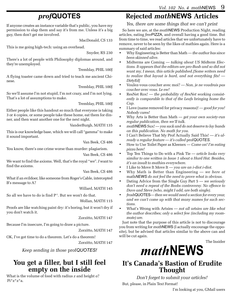If anyone creates an instance variable that's public, you have my permission to slap them and say it's from me. Unless it's a big guy, then don't get me involved.

MacDonald, CS 133

This is me going high-tech: using an overhead.

Snyder, RS 230

There's a lot of people with Philosophy diplomas around, and they're unemployed.

Tremblay, PHIL 100J

A flying toaster came down and tried to teach me ancient Chinese.

Tremblay, PHIL 100J

So we'll assume I'm not stupid, I'm not crazy, and I'm not lying. That's a lot of assumptions to make.

Tremblay, PHIL 100J

Either people like this handout so much that everyone is taking 3 or 4 copies, or some people take these home, eat them for dinner, and then want another one for the next night.

VanderBurgh, MATH 135

This is our knowledge base, which we will call "gamma" to make it sound important.

Van Beek, CS 486

You know, there's one crime worse than murder: plagiarism.

Van Beek, CS 486

We want to find the axioms. Well, that's the royal "we". *I* want to find the axioms.

Van Beek, CS 486

What if an evildoer, like someone from Roger's Cable, intercepted B's message to A?

Willard, MATH 145

So all we have to do is find  $P<sup>-1</sup>$ . But we won't do that.

Wollan, MATH 115

Proofs are like watching paint dry: it's boring, but it won't dry if you don't watch it.

Zorzitto, MATH 147

Because I'm insecure, I'm going to draw a picture.

Zorzitto, MATH 147

OK, I've got time to do a theorem. Let's do a theorem!

Zorzitto, MATH 147

*Keep sending in those* prof*QUOTES!*

## **You get a filler, but I still feel empty on the inside**

What is the volume of food with radius *z* and height *a*? Pi\*z\*z\*a.

## *prof***QUOTES Rejected** *math***NEWS Articles**

*Yes, there are some things that we can't print*

So here we are, at the *math*NEWS Production Night, reading articles, eating *free*PIZZA, and overall having a good time. But from time to time, we read articles that we unfortunately have to remove, never to be seen by the likes of mathies again. Here is a summary of said articles:

- Why Engineering is Better than Math  *the author has since been skinned alive.*
- Midterms are Coming  *talking about US Midterm Elections. It appears that the editors are pro-Bush and so did not want my, I mean, this article published.[Some writers need to realize that layout is hard, and not everything fits! — DirtyEd]*
- Voulez-vous coucher avec moi?  *Non, je ne voudrais pas coucher avec vous. Le ew!*
- ResNet Rox!  *the probability of ResNet working consistently is comparable to that of the Leafs bringing home the Cup.*
- I Love (name removed for privacy reasons)!  *good for you! Nobody cares!*
- Why Arts is Better than Math  *get your own society-run regular publication, then we'll talk.*
- *math*NEWS Sux!  *you suck and do not deserve to lay hands on this publication. No math for you.*
- I Can't Believe That My Prof Actually Said This!  *it's already a regular feature — it's called* prof*QUOTES.*
- How to Use Toilet Paper as Kleenex  *Come on! I'm eating pizza here!*
- Top Ten Things to Do with a Pink Tie  *article looks very similar to one written in Issue 1 about a Hard Hat. Besides, it's an insult to mathies everywhere.*
- I Like to Move It Move It  *you are an i-diot i-diot.*
- Why Math is Better than Engineering  *we here at* math*NEWS do not feel the need to prove what is obvious.*
- Dating Advice from the Single Guy Part 5  *we seriously don't need a repeat of the Boobs controversy. No offence to Dave and Steve (who, might I add, are both single).*
- *frosh*QUOTES *then we would need a section for every year, and we can't come up with that many names for such sections.*
- What's Wrong with Artsies  *not all artsies are like what the author describes; only a select few (including my roommate) are.*

Just note that the purpose of this article is not to discourage you from writing for *math*NEWS (I actually encourage the opposite), but be advised that articles similar to the above can and will be cut again.

The Insider

# *math***NEWS**

## **It's Canada's Bastion of Erudite Thought**

*Don't forget to submit your articles!* But, please, in Plain Text Format!

I'm looking at you, GMail users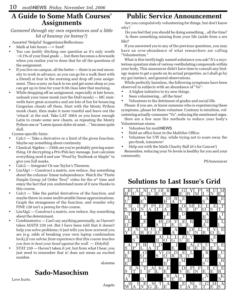### **A Guide to Some Math Courses' Assignments**

#### *Garnered through my own experiences and a little bit of hearsay (or heresy?)*

Assorted 'Helpful' Suggestions/Reflections:

- Math at late hours > food!
- You can justify ditching one question as it's only worth  $\sim$ 0.1% of your final grade  $\ldots$  but there becomes a downside when you realize you've done that for all the questions of the assignment.
- If you live on campus, all the better there is no real necessity to work in advance, as you can go for a walk (best with a friend) at four in the morning and drop off your assignment. Then scurry on back to res and get some sleep so you can get up in time for your 8:30 class later that morning.
- While dropping off an assignment, especially at late hours, unleash your inner monk (not the DnD monk) — MC stairwells have great acoustics and are lots of fun for bouncing Gregorian chants off them. Start with the Monty Python monk chant, then make it more tuneful and leave out the 'whack' at the end. Take LAT 100A so you know enough Latin to create some new chants, as repeating the Monty Python one or "Lorem ipsum dolor sit amet…" becomes quite dull.

Course-specific hints:

- Calc1 Take a derivative or a limit of the given function. Maybe say something about continuity.
- Classical Algebra Odds are you're probably proving something. Or decrypting a Priv/Pub key message. Just calculate everything mod 0 and use "Proof by Textbook or Maple" to give you full marks.
- Calc2 Integrate! Or use Taylor's Theorem.
- LinAlg1 Construct a matrix, row reduce. Say something about the columns' linear independence. Watch the "Finite Simple Group (of Order Two)" video for the  $n<sup>th</sup>$  time and enjoy the fact that you understand more of it now thanks to this course.
- Calc3 Take the partial derivatives of the function, and maybe throw in some multivariable linear approximations. Graph the strangeness of the function, and wonder why FINE 120 isn't a prereq for this course.
- LinAlg2 Construct a matrix, row reduce. Say something about the determinant.
- Combinatorics Can't say anything personally, as I haven't taken MATH 239 yet. But I have been told that it doesn't help you solve problems; it just tells you how screwed you are (e.g. odds of breaking your own laptop combination lock).*[I can advise from experience that this course teaches you how to beat your head against the wall. — DirtyEd]*
- STAT 230 Haven't taken it yet, but from what I hear, you just need to remember that n! does not mean an excited number.

aLemma

## **Sado-Masochism**

Love hurts.

Angelo

## **Public Service Announcement**

Are you compulsively volunteering for things, but don't know why?

 Do you feel that you should be doing something…all the time? Is there something missing from your life (aside from a sex life)?

If you answered yes to any of the previous questions, you may have an over-abundance of what researchers are calling "Volunteerium."

What is this terrifyingly named substance you ask? It's a mysterious quantum state of various vestibulating compounds within your body. This announcer didn't have time to consult any biology majors to get a quote on its actual properties, so I shall go by my gut instinct, and general observations.

While perfectly harmless, the following symptoms have been observed in subjects with an abundance of "Vo":

- A higher initiative to try new things.
- Seen volunteering…all the time!
- Volunteers to the detriment of grades and social life.

Please: if you are, or know someone who is experiencing these symptoms, please let them volunteer. Contrary to intuition, volunteering actually consumes "Vo", reducing the mentioned urges.

Here are a few sure fire methods to reduce your body's Volunteerium stores.

- Volunteer for *math*NEWS.
- Hold an office hour in the MathSoc Office.
- Volunteer for UW day, while trying not to scare away the pre-frosh, tomorrow!
- Help out with the Math Charity Ball (it's for Cancer!) Remember, reducing your Vo levels is healthy for you and your community.

PSAnnouncer

## **Solutions to Last Issue's Grid**

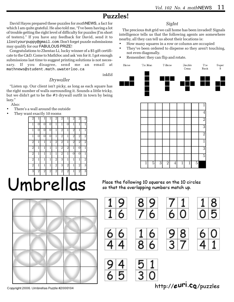## **Puzzles!**

David Hayes prepared these puzzles for *math*NEWS, a fact for which I am quite grateful. He also told me, "I've been having a lot of trouble getting the right level of difficulty for puzzles (I'm short of testers)." If you have any feedback for David, send it to ilostyourpuppy@gmail.com. Don't forget puzzle submissions may qualify for our FABULOUS PRIZE!

Congratulations to Zhentao Li, lucky winner of a \$5 gift certificate to the C&D. Come to MathSoc and ask 'em for it. I got enough submissions last time to suggest printing solutions is not necessary. If you disagree, send me an email at mathnews@student.math.uwaterloo.ca

#### inkEd

#### *Drywaller*

"Listen up. Our client isn't picky, as long as each square has the right number of walls surrounding it. Sounds a little tricky, but we didn't get to be the #3 drywall outfit in town by being lazy."

Also:

- There's a wall around the outside
- They want exactly 10 rooms



# Umbrellas



Copyright 2006, Umbrellas Puzzle #2006104

#### *SigInt*

The precious 8x8 grid we call home has been invaded! Signals intelligence tells us that the following agents are somewhere nearby, all they can tell us about their locations is:

- How many squares in a row or column are occupied
- They've been ordered to disperse so they aren't touching, not even diagonally.
- Remember: they can flip and rotate.





Place the following 10 squares on the 10 circles so that the overlapping numbers match up.



http://euri.cq/puzzles